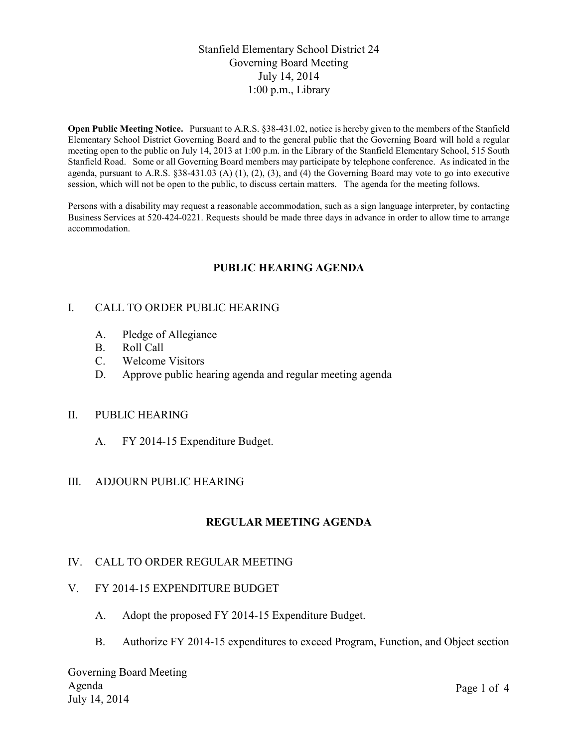# Stanfield Elementary School District 24 Governing Board Meeting July 14, 2014 1:00 p.m., Library

**Open Public Meeting Notice.** Pursuant to A.R.S. §38-431.02, notice is hereby given to the members of the Stanfield Elementary School District Governing Board and to the general public that the Governing Board will hold a regular meeting open to the public on July 14, 2013 at 1:00 p.m. in the Library of the Stanfield Elementary School, 515 South Stanfield Road. Some or all Governing Board members may participate by telephone conference. As indicated in the agenda, pursuant to A.R.S. §38-431.03 (A) (1), (2), (3), and (4) the Governing Board may vote to go into executive session, which will not be open to the public, to discuss certain matters. The agenda for the meeting follows.

Persons with a disability may request a reasonable accommodation, such as a sign language interpreter, by contacting Business Services at 520-424-0221. Requests should be made three days in advance in order to allow time to arrange accommodation.

# **PUBLIC HEARING AGENDA**

## I. CALL TO ORDER PUBLIC HEARING

- A. Pledge of Allegiance
- B. Roll Call
- C. Welcome Visitors
- D. Approve public hearing agenda and regular meeting agenda

### II. PUBLIC HEARING

A. FY 2014-15 Expenditure Budget.

### III. ADJOURN PUBLIC HEARING

# **REGULAR MEETING AGENDA**

### IV. CALL TO ORDER REGULAR MEETING

## V. FY 2014-15 EXPENDITURE BUDGET

- A. Adopt the proposed FY 2014-15 Expenditure Budget.
- B. Authorize FY 2014-15 expenditures to exceed Program, Function, and Object section

Governing Board Meeting Agenda July 14, 2014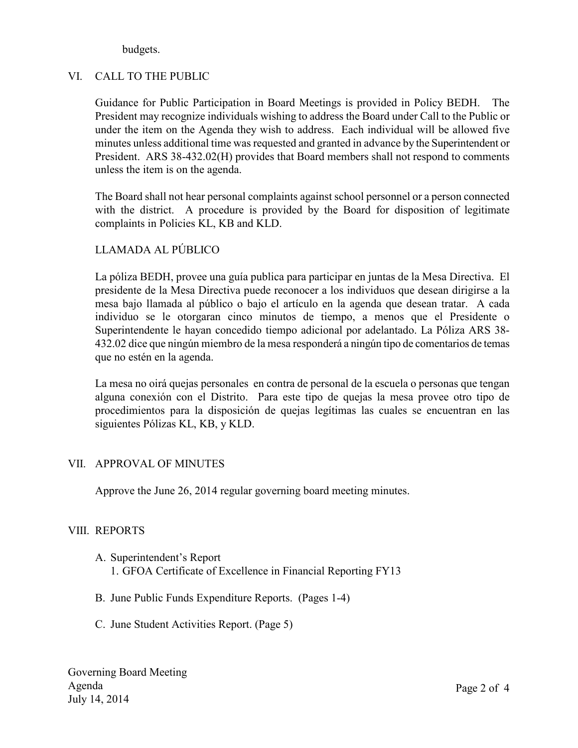budgets.

## VI. CALL TO THE PUBLIC

Guidance for Public Participation in Board Meetings is provided in Policy BEDH. The President may recognize individuals wishing to address the Board under Call to the Public or under the item on the Agenda they wish to address. Each individual will be allowed five minutes unless additional time was requested and granted in advance by the Superintendent or President. ARS 38-432.02(H) provides that Board members shall not respond to comments unless the item is on the agenda.

The Board shall not hear personal complaints against school personnel or a person connected with the district. A procedure is provided by the Board for disposition of legitimate complaints in Policies KL, KB and KLD.

# LLAMADA AL PÚBLICO

La póliza BEDH, provee una guía publica para participar en juntas de la Mesa Directiva. El presidente de la Mesa Directiva puede reconocer a los individuos que desean dirigirse a la mesa bajo llamada al público o bajo el artículo en la agenda que desean tratar. A cada individuo se le otorgaran cinco minutos de tiempo, a menos que el Presidente o Superintendente le hayan concedido tiempo adicional por adelantado. La Póliza ARS 38- 432.02 dice que ningún miembro de la mesa responderá a ningún tipo de comentarios de temas que no estén en la agenda.

La mesa no oirá quejas personales en contra de personal de la escuela o personas que tengan alguna conexión con el Distrito. Para este tipo de quejas la mesa provee otro tipo de procedimientos para la disposición de quejas legítimas las cuales se encuentran en las siguientes Pólizas KL, KB, y KLD.

### VII. APPROVAL OF MINUTES

Approve the June 26, 2014 regular governing board meeting minutes.

### VIII. REPORTS

- A. Superintendent's Report 1. GFOA Certificate of Excellence in Financial Reporting FY13
- B. June Public Funds Expenditure Reports. (Pages 1-4)
- C. June Student Activities Report. (Page 5)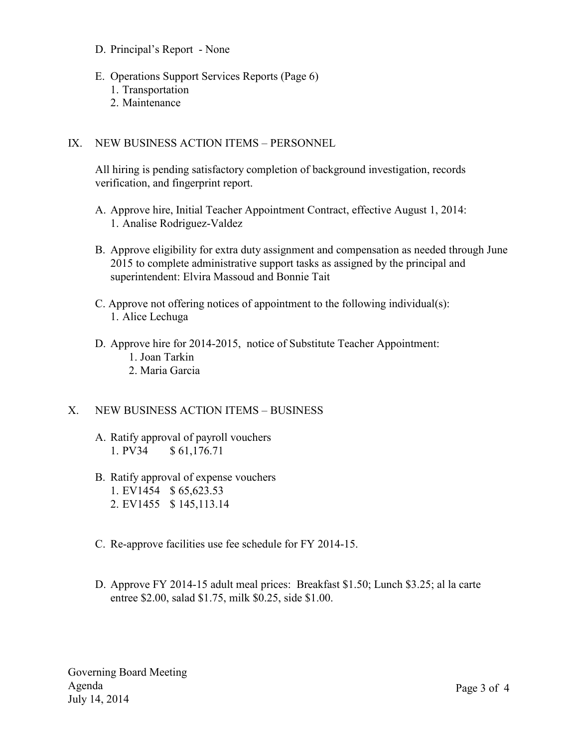- D. Principal's Report None
- E. Operations Support Services Reports (Page 6) 1. Transportation
	- 2. Maintenance

## IX. NEW BUSINESS ACTION ITEMS – PERSONNEL

All hiring is pending satisfactory completion of background investigation, records verification, and fingerprint report.

- A. Approve hire, Initial Teacher Appointment Contract, effective August 1, 2014: 1. Analise Rodriguez-Valdez
- B. Approve eligibility for extra duty assignment and compensation as needed through June 2015 to complete administrative support tasks as assigned by the principal and superintendent: Elvira Massoud and Bonnie Tait
- C. Approve not offering notices of appointment to the following individual(s): 1. Alice Lechuga
- D. Approve hire for 2014-2015, notice of Substitute Teacher Appointment: 1. Joan Tarkin 2. Maria Garcia

# X. NEW BUSINESS ACTION ITEMS – BUSINESS

- A. Ratify approval of payroll vouchers 1. PV34 \$ 61,176.71
- B. Ratify approval of expense vouchers 1. EV1454 \$ 65,623.53 2. EV1455 \$ 145,113.14
- C. Re-approve facilities use fee schedule for FY 2014-15.
- D. Approve FY 2014-15 adult meal prices: Breakfast \$1.50; Lunch \$3.25; al la carte entree \$2.00, salad \$1.75, milk \$0.25, side \$1.00.